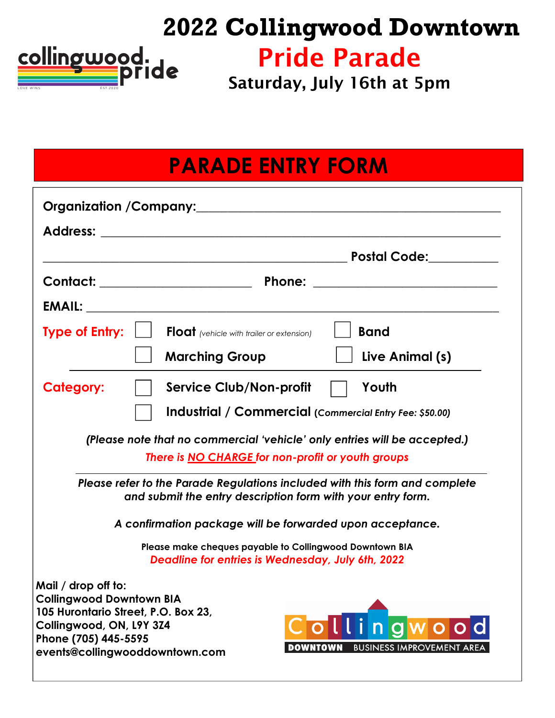# **2022 Collingwood Downtown**



Pride Parade

Saturday, July 16th at 5pm

## **PARADE ENTRY FORM**

|                                                                                                                                                                                     |                                           | Postal Code: <u>______________</u>                                 |  |  |
|-------------------------------------------------------------------------------------------------------------------------------------------------------------------------------------|-------------------------------------------|--------------------------------------------------------------------|--|--|
|                                                                                                                                                                                     |                                           |                                                                    |  |  |
|                                                                                                                                                                                     |                                           |                                                                    |  |  |
| <b>Type of Entry:</b>                                                                                                                                                               | Float (vehicle with trailer or extension) | <b>Band</b>                                                        |  |  |
|                                                                                                                                                                                     | <b>Marching Group</b>                     | Live Animal (s)                                                    |  |  |
| <b>Category:</b>                                                                                                                                                                    | <b>Service Club/Non-profit</b>            | Youth                                                              |  |  |
| Industrial / Commercial (Commercial Entry Fee: \$50.00)                                                                                                                             |                                           |                                                                    |  |  |
| (Please note that no commercial 'vehicle' only entries will be accepted.)<br>There is <b>NO CHARGE</b> for non-profit or youth groups                                               |                                           |                                                                    |  |  |
| Please refer to the Parade Regulations included with this form and complete<br>and submit the entry description form with your entry form.                                          |                                           |                                                                    |  |  |
| A confirmation package will be forwarded upon acceptance.                                                                                                                           |                                           |                                                                    |  |  |
| Please make cheques payable to Collingwood Downtown BIA<br><b>Deadline for entries is Wednesday, July 6th, 2022</b>                                                                 |                                           |                                                                    |  |  |
| Mail / drop off to:<br><b>Collingwood Downtown BIA</b><br>105 Hurontario Street, P.O. Box 23,<br>Collingwood, ON, L9Y 3Z4<br>Phone (705) 445-5595<br>events@collingwooddowntown.com |                                           | Collingwood<br><b>DOWNTOWN</b><br><b>BUSINESS IMPROVEMENT AREA</b> |  |  |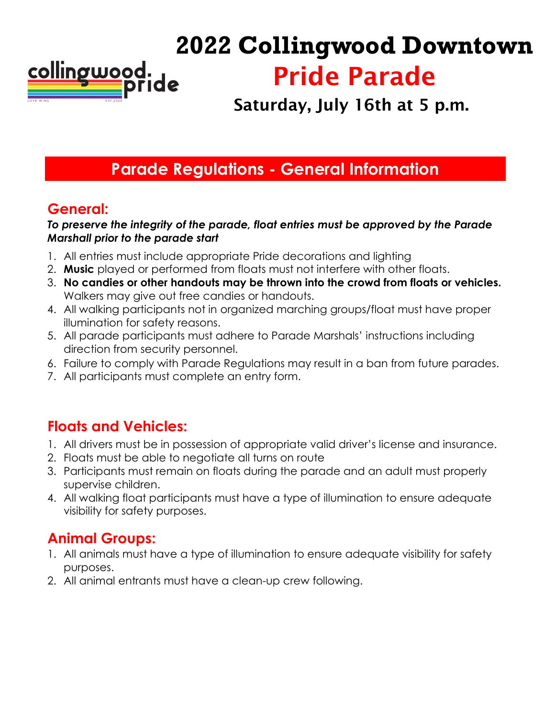

# **2022 Collingwood Downtown** Pride Parade

**Saturday**, July 16th **at 5 p.m.**

### **Parade Regulations - General Information**

#### **General:**

#### *To preserve the integrity of the parade, float entries must be approved by the Parade Marshall prior to the parade start*

- 1. All entries must include appropriate Pride decorations and lighting
- 2. **Music** played or performed from floats must not interfere with other floats.
- 3. **No candies or other handouts may be thrown into the crowd from floats or vehicles.** Walkers may give out free candies or handouts.
- 4. All walking participants not in organized marching groups/float must have proper illumination for safety reasons.
- 5. All parade participants must adhere to Parade Marshals' instructions including direction from security personnel.
- 6. Failure to comply with Parade Regulations may result in a ban from future parades.
- 7. All participants must complete an entry form.

#### **Floats and Vehicles:**

- 1. All drivers must be in possession of appropriate valid driver's license and insurance.
- 2. Floats must be able to negotiate all turns on route
- 3. Participants must remain on floats during the parade and an adult must properly supervise children.
- 4. All walking float participants must have a type of illumination to ensure adequate visibility for safety purposes.

#### **Animal Groups:**

- 1. All animals must have a type of illumination to ensure adequate visibility for safety purposes.
- 2. All animal entrants must have a clean-up crew following.